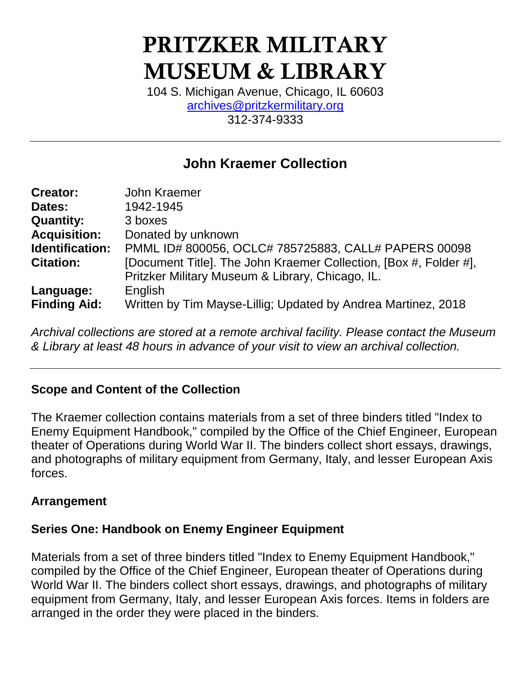# PRITZKER MILITARY MUSEUM & LIBRARY

104 S. Michigan Avenue, Chicago, IL 60603 [archives@pritzkermilitary.org](mailto:archives@pritzkermilitary.org) 312-374-9333

# **John Kraemer Collection**

| <b>Creator:</b>     | John Kraemer                                                      |
|---------------------|-------------------------------------------------------------------|
| Dates:              | 1942-1945                                                         |
| <b>Quantity:</b>    | 3 boxes                                                           |
| <b>Acquisition:</b> | Donated by unknown                                                |
| Identification:     | PMML ID# 800056, OCLC# 785725883, CALL# PAPERS 00098              |
| <b>Citation:</b>    | [Document Title]. The John Kraemer Collection, [Box #, Folder #], |
|                     | Pritzker Military Museum & Library, Chicago, IL.                  |
| Language:           | English                                                           |
| <b>Finding Aid:</b> | Written by Tim Mayse-Lillig; Updated by Andrea Martinez, 2018     |

*Archival collections are stored at a remote archival facility. Please contact the Museum & Library at least 48 hours in advance of your visit to view an archival collection.*

# **Scope and Content of the Collection**

The Kraemer collection contains materials from a set of three binders titled "Index to Enemy Equipment Handbook," compiled by the Office of the Chief Engineer, European theater of Operations during World War II. The binders collect short essays, drawings, and photographs of military equipment from Germany, Italy, and lesser European Axis forces.

### **Arrangement**

### **Series One: Handbook on Enemy Engineer Equipment**

Materials from a set of three binders titled "Index to Enemy Equipment Handbook," compiled by the Office of the Chief Engineer, European theater of Operations during World War II. The binders collect short essays, drawings, and photographs of military equipment from Germany, Italy, and lesser European Axis forces. Items in folders are arranged in the order they were placed in the binders.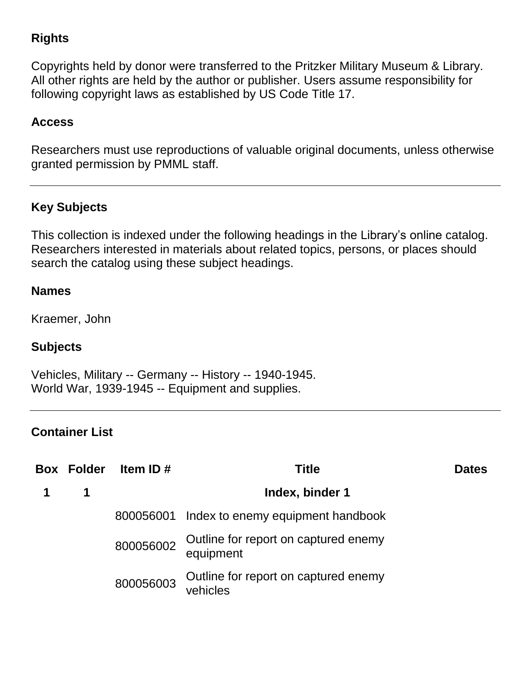# **Rights**

Copyrights held by donor were transferred to the Pritzker Military Museum & Library. All other rights are held by the author or publisher. Users assume responsibility for following copyright laws as established by US Code Title 17.

### **Access**

Researchers must use reproductions of valuable original documents, unless otherwise granted permission by PMML staff.

# **Key Subjects**

This collection is indexed under the following headings in the Library's online catalog. Researchers interested in materials about related topics, persons, or places should search the catalog using these subject headings.

#### **Names**

Kraemer, John

### **Subjects**

Vehicles, Military -- Germany -- History -- 1940-1945. World War, 1939-1945 -- Equipment and supplies.

#### **Container List**

| <b>Box Folder</b> | Item ID#  | <b>Title</b>                                      | <b>Dates</b> |
|-------------------|-----------|---------------------------------------------------|--------------|
| 1                 |           | Index, binder 1                                   |              |
|                   |           | 800056001 Index to enemy equipment handbook       |              |
|                   | 800056002 | Outline for report on captured enemy<br>equipment |              |
|                   | 800056003 | Outline for report on captured enemy<br>vehicles  |              |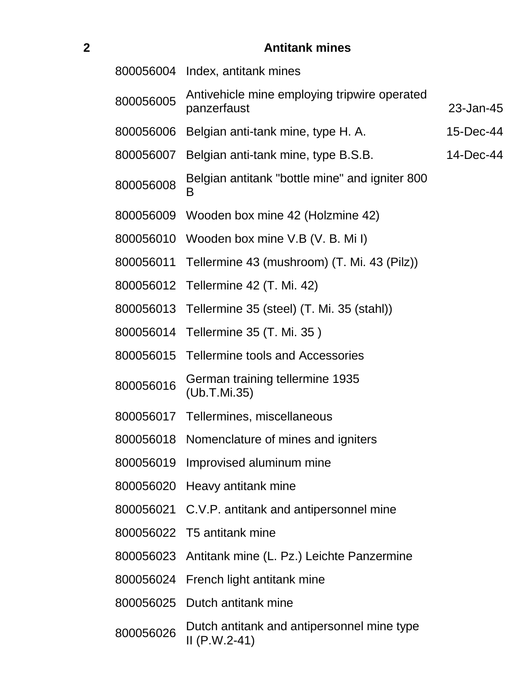# **Antitank mines**

|           | 800056004 Index, antitank mines                               |           |
|-----------|---------------------------------------------------------------|-----------|
| 800056005 | Antivehicle mine employing tripwire operated<br>panzerfaust   | 23-Jan-45 |
| 800056006 | Belgian anti-tank mine, type H. A.                            | 15-Dec-44 |
| 800056007 | Belgian anti-tank mine, type B.S.B.                           | 14-Dec-44 |
| 800056008 | Belgian antitank "bottle mine" and igniter 800<br>В           |           |
| 800056009 | Wooden box mine 42 (Holzmine 42)                              |           |
| 800056010 | Wooden box mine V.B (V. B. Mil)                               |           |
| 800056011 | Tellermine 43 (mushroom) (T. Mi. 43 (Pilz))                   |           |
|           | 800056012 Tellermine 42 (T. Mi. 42)                           |           |
| 800056013 | Tellermine 35 (steel) (T. Mi. 35 (stahl))                     |           |
| 800056014 | Tellermine 35 (T. Mi. 35)                                     |           |
|           | 800056015 Tellermine tools and Accessories                    |           |
| 800056016 | German training tellermine 1935<br>(Ub.T.Mi.35)               |           |
|           | 800056017 Tellermines, miscellaneous                          |           |
| 800056018 | Nomenclature of mines and igniters                            |           |
|           | 800056019 Improvised aluminum mine                            |           |
|           | 800056020 Heavy antitank mine                                 |           |
|           | 800056021 C.V.P. antitank and antipersonnel mine              |           |
|           | 800056022 T5 antitank mine                                    |           |
| 800056023 | Antitank mine (L. Pz.) Leichte Panzermine                     |           |
| 800056024 | French light antitank mine                                    |           |
| 800056025 | Dutch antitank mine                                           |           |
| 800056026 | Dutch antitank and antipersonnel mine type<br>$II (P.W.2-41)$ |           |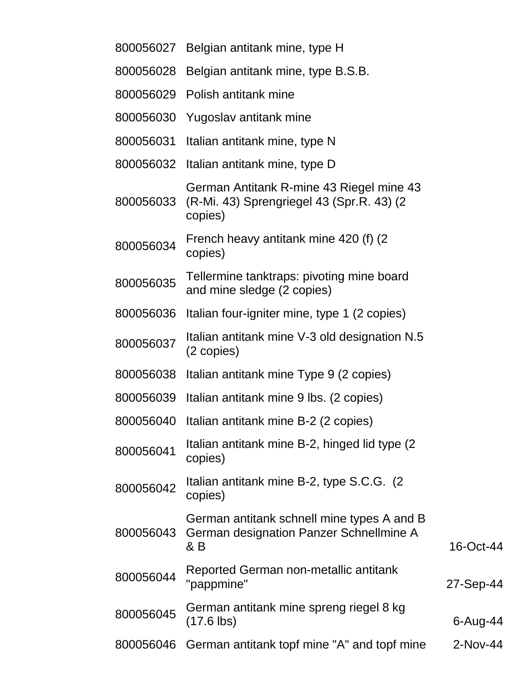| 800056027 | Belgian antitank mine, type H                                                                     |           |
|-----------|---------------------------------------------------------------------------------------------------|-----------|
| 800056028 | Belgian antitank mine, type B.S.B.                                                                |           |
|           | 800056029 Polish antitank mine                                                                    |           |
| 800056030 | Yugoslav antitank mine                                                                            |           |
| 800056031 | Italian antitank mine, type N                                                                     |           |
| 800056032 | Italian antitank mine, type D                                                                     |           |
| 800056033 | German Antitank R-mine 43 Riegel mine 43<br>(R-Mi. 43) Sprengriegel 43 (Spr.R. 43) (2)<br>copies) |           |
| 800056034 | French heavy antitank mine 420 (f) (2)<br>copies)                                                 |           |
| 800056035 | Tellermine tanktraps: pivoting mine board<br>and mine sledge (2 copies)                           |           |
| 800056036 | Italian four-igniter mine, type 1 (2 copies)                                                      |           |
| 800056037 | Italian antitank mine V-3 old designation N.5<br>(2 copies)                                       |           |
| 800056038 | Italian antitank mine Type 9 (2 copies)                                                           |           |
| 800056039 | Italian antitank mine 9 lbs. (2 copies)                                                           |           |
| 800056040 | Italian antitank mine B-2 (2 copies)                                                              |           |
| 800056041 | Italian antitank mine B-2, hinged lid type (2)<br>copies)                                         |           |
| 800056042 | Italian antitank mine B-2, type S.C.G. (2)<br>copies)                                             |           |
| 800056043 | German antitank schnell mine types A and B<br>German designation Panzer Schnellmine A<br>& B      | 16-Oct-44 |
| 800056044 | Reported German non-metallic antitank<br>"pappmine"                                               | 27-Sep-44 |
| 800056045 | German antitank mine spreng riegel 8 kg<br>$(17.6$ lbs)                                           | 6-Aug-44  |
| 800056046 | German antitank topf mine "A" and topf mine                                                       | 2-Nov-44  |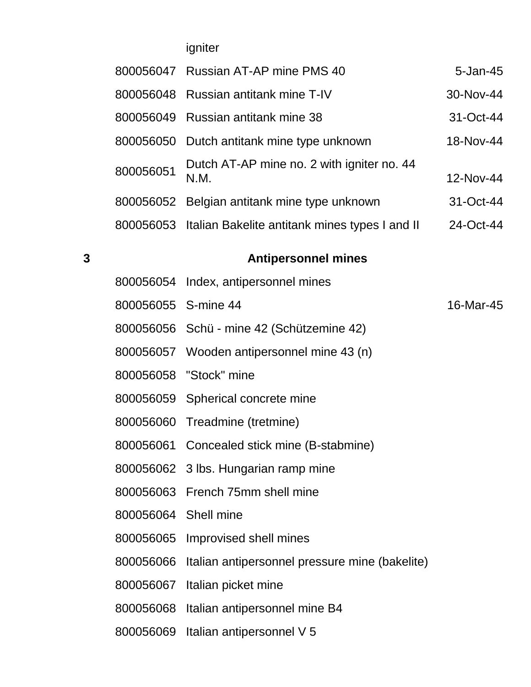igniter

|           | 800056047 Russian AT-AP mine PMS 40                      | $5 - Jan-45$ |
|-----------|----------------------------------------------------------|--------------|
|           | 800056048 Russian antitank mine T-IV                     | 30-Nov-44    |
|           | 800056049 Russian antitank mine 38                       | $31-Oct-44$  |
|           | 800056050 Dutch antitank mine type unknown               | 18-Nov-44    |
| 800056051 | Dutch AT-AP mine no. 2 with igniter no. 44<br>N.M.       | 12-Nov-44    |
|           | 800056052 Belgian antitank mine type unknown             | 31-Oct-44    |
|           | 800056053 Italian Bakelite antitank mines types I and II | 24-Oct-44    |
|           |                                                          |              |

# **Antipersonnel mines**

|                      | 800056054 Index, antipersonnel mines                     |           |
|----------------------|----------------------------------------------------------|-----------|
| 800056055 S-mine 44  |                                                          | 16-Mar-45 |
|                      | 800056056 Schü - mine 42 (Schützemine 42)                |           |
|                      | 800056057 Wooden antipersonnel mine 43 (n)               |           |
|                      | 800056058 "Stock" mine                                   |           |
|                      | 800056059 Spherical concrete mine                        |           |
|                      | 800056060 Treadmine (tretmine)                           |           |
|                      | 800056061 Concealed stick mine (B-stabmine)              |           |
|                      | 800056062 3 lbs. Hungarian ramp mine                     |           |
|                      | 800056063 French 75mm shell mine                         |           |
| 800056064 Shell mine |                                                          |           |
|                      | 800056065 Improvised shell mines                         |           |
|                      | 800056066 Italian antipersonnel pressure mine (bakelite) |           |
|                      | 800056067 Italian picket mine                            |           |
|                      | 800056068 Italian antipersonnel mine B4                  |           |
|                      | 800056069 Italian antipersonnel V 5                      |           |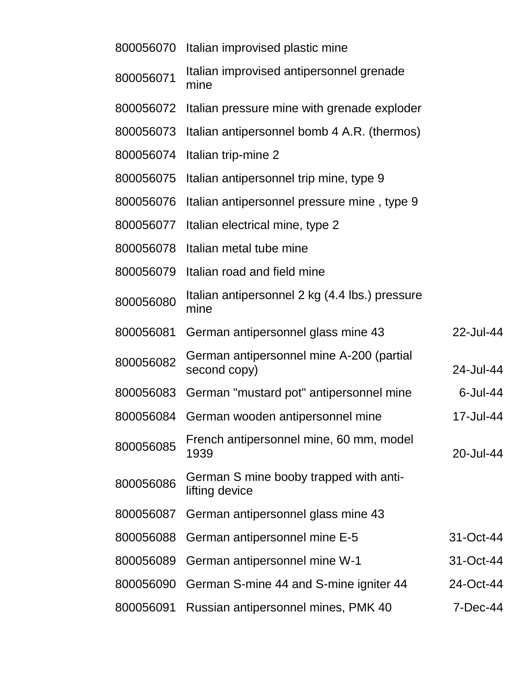| 800056070 | Italian improvised plastic mine                          |             |
|-----------|----------------------------------------------------------|-------------|
| 800056071 | Italian improvised antipersonnel grenade<br>mine         |             |
| 800056072 | Italian pressure mine with grenade exploder              |             |
| 800056073 | Italian antipersonnel bomb 4 A.R. (thermos)              |             |
| 800056074 | Italian trip-mine 2                                      |             |
| 800056075 | Italian antipersonnel trip mine, type 9                  |             |
| 800056076 | Italian antipersonnel pressure mine, type 9              |             |
| 800056077 | Italian electrical mine, type 2                          |             |
| 800056078 | Italian metal tube mine                                  |             |
| 800056079 | Italian road and field mine                              |             |
| 800056080 | Italian antipersonnel 2 kg (4.4 lbs.) pressure<br>mine   |             |
| 800056081 | German antipersonnel glass mine 43                       | 22-Jul-44   |
| 800056082 | German antipersonnel mine A-200 (partial<br>second copy) | 24-Jul-44   |
| 800056083 | German "mustard pot" antipersonnel mine                  | $6$ -Jul-44 |
| 800056084 | German wooden antipersonnel mine                         | 17-Jul-44   |
| 800056085 | French antipersonnel mine, 60 mm, model<br>1939          | 20-Jul-44   |
| 800056086 | German S mine booby trapped with anti-<br>lifting device |             |
| 800056087 | German antipersonnel glass mine 43                       |             |
| 800056088 | German antipersonnel mine E-5                            | 31-Oct-44   |
| 800056089 | German antipersonnel mine W-1                            | 31-Oct-44   |
| 800056090 | German S-mine 44 and S-mine igniter 44                   | 24-Oct-44   |
| 800056091 | Russian antipersonnel mines, PMK 40                      | 7-Dec-44    |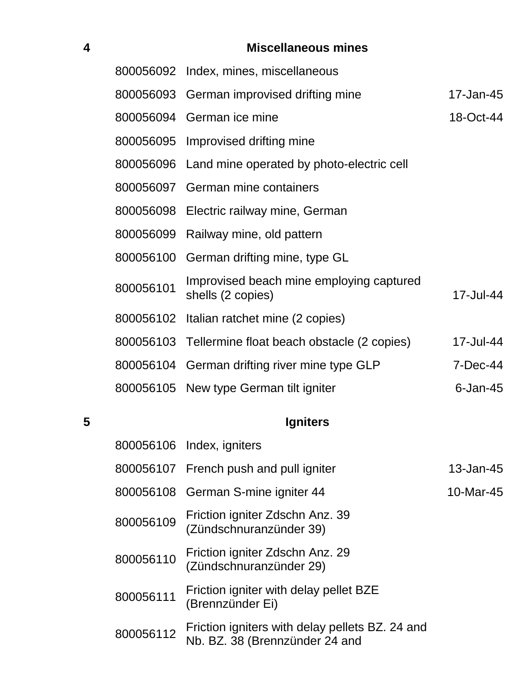# **Miscellaneous mines**

|           | 800056092 Index, mines, miscellaneous                         |             |
|-----------|---------------------------------------------------------------|-------------|
|           | 800056093 German improvised drifting mine                     | 17-Jan-45   |
|           | 800056094 German ice mine                                     | 18-Oct-44   |
|           | 800056095 Improvised drifting mine                            |             |
|           | 800056096 Land mine operated by photo-electric cell           |             |
|           | 800056097 German mine containers                              |             |
|           | 800056098 Electric railway mine, German                       |             |
| 800056099 | Railway mine, old pattern                                     |             |
|           | 800056100 German drifting mine, type GL                       |             |
| 800056101 | Improvised beach mine employing captured<br>shells (2 copies) | 17-Jul-44   |
|           | 800056102 Italian ratchet mine (2 copies)                     |             |
|           | 800056103 Tellermine float beach obstacle (2 copies)          | 17-Jul-44   |
|           | 800056104 German drifting river mine type GLP                 | 7-Dec-44    |
|           | 800056105 New type German tilt igniter                        | $6$ -Jan-45 |

# **Igniters**

|           | 800056106 Index, igniters                                                         |           |
|-----------|-----------------------------------------------------------------------------------|-----------|
|           | 800056107 French push and pull igniter                                            | 13-Jan-45 |
|           | 800056108 German S-mine igniter 44                                                | 10-Mar-45 |
| 800056109 | Friction igniter Zdschn Anz. 39<br>(Zündschnuranzünder 39)                        |           |
| 800056110 | Friction igniter Zdschn Anz. 29<br>(Zündschnuranzünder 29)                        |           |
| 800056111 | Friction igniter with delay pellet BZE<br>(Brennzünder Ei)                        |           |
| 800056112 | Friction igniters with delay pellets BZ. 24 and<br>Nb. BZ. 38 (Brennzünder 24 and |           |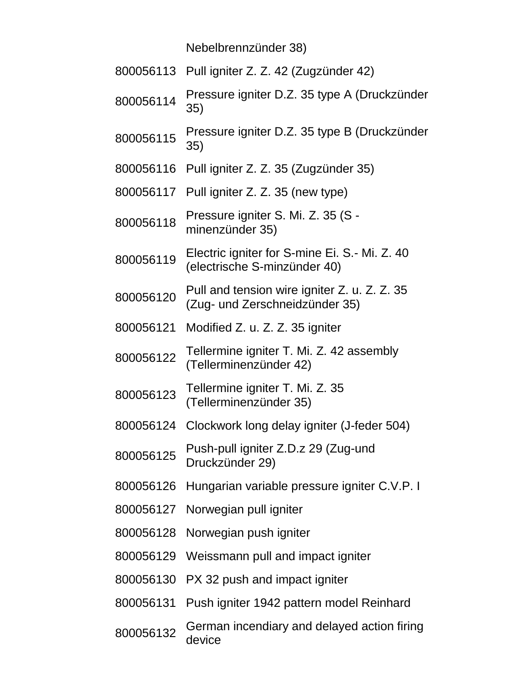Nebelbrennzünder 38)

|           | 800056113 Pull igniter Z. Z. 42 (Zugzünder 42)                                 |
|-----------|--------------------------------------------------------------------------------|
| 800056114 | Pressure igniter D.Z. 35 type A (Druckzünder<br>35)                            |
| 800056115 | Pressure igniter D.Z. 35 type B (Druckzünder<br>35)                            |
| 800056116 | Pull igniter Z. Z. 35 (Zugzünder 35)                                           |
| 800056117 | Pull igniter Z. Z. 35 (new type)                                               |
| 800056118 | Pressure igniter S. Mi. Z. 35 (S -<br>minenzünder 35)                          |
| 800056119 | Electric igniter for S-mine Ei. S.- Mi. Z. 40<br>(electrische S-minzünder 40)  |
| 800056120 | Pull and tension wire igniter Z. u. Z. Z. 35<br>(Zug- und Zerschneidzünder 35) |
| 800056121 | Modified Z. u. Z. Z. 35 igniter                                                |
| 800056122 | Tellermine igniter T. Mi. Z. 42 assembly<br>(Tellerminenzünder 42)             |
| 800056123 | Tellermine igniter T. Mi. Z. 35<br>(Tellerminenzünder 35)                      |
| 800056124 | Clockwork long delay igniter (J-feder 504)                                     |
| 800056125 | Push-pull igniter Z.D.z 29 (Zug-und<br>Druckzünder 29)                         |
| 800056126 | Hungarian variable pressure igniter C.V.P. I                                   |
| 800056127 | Norwegian pull igniter                                                         |
| 800056128 | Norwegian push igniter                                                         |
| 800056129 | Weissmann pull and impact igniter                                              |
| 800056130 | PX 32 push and impact igniter                                                  |
| 800056131 | Push igniter 1942 pattern model Reinhard                                       |
| 800056132 | German incendiary and delayed action firing                                    |

device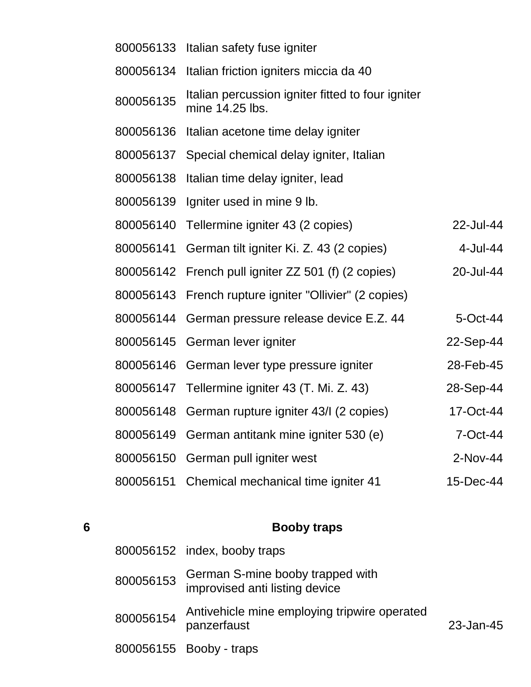|           | 800056133 Italian safety fuse igniter                                |           |
|-----------|----------------------------------------------------------------------|-----------|
| 800056134 | Italian friction igniters miccia da 40                               |           |
| 800056135 | Italian percussion igniter fitted to four igniter<br>mine 14.25 lbs. |           |
| 800056136 | Italian acetone time delay igniter                                   |           |
| 800056137 | Special chemical delay igniter, Italian                              |           |
| 800056138 | Italian time delay igniter, lead                                     |           |
| 800056139 | Igniter used in mine 9 lb.                                           |           |
| 800056140 | Tellermine igniter 43 (2 copies)                                     | 22-Jul-44 |
| 800056141 | German tilt igniter Ki. Z. 43 (2 copies)                             | 4-Jul-44  |
| 800056142 | French pull igniter ZZ 501 (f) (2 copies)                            | 20-Jul-44 |
|           | 800056143 French rupture igniter "Ollivier" (2 copies)               |           |
|           | 800056144 German pressure release device E.Z. 44                     | 5-Oct-44  |
| 800056145 | German lever igniter                                                 | 22-Sep-44 |
|           | 800056146 German lever type pressure igniter                         | 28-Feb-45 |
|           | 800056147 Tellermine igniter 43 (T. Mi. Z. 43)                       | 28-Sep-44 |
| 800056148 | German rupture igniter 43/I (2 copies)                               | 17-Oct-44 |
| 800056149 | German antitank mine igniter 530 (e)                                 | 7-Oct-44  |
| 800056150 | German pull igniter west                                             | 2-Nov-44  |
| 800056151 | Chemical mechanical time igniter 41                                  | 15-Dec-44 |
|           |                                                                      |           |

| 6 |           | <b>Booby traps</b>                                                 |                 |
|---|-----------|--------------------------------------------------------------------|-----------------|
|   |           | 800056152 index, booby traps                                       |                 |
|   | 800056153 | German S-mine booby trapped with<br>improvised anti listing device |                 |
|   | 800056154 | Antivehicle mine employing tripwire operated<br>panzerfaust        | $23 - Jan - 45$ |
|   |           | 800056155 Booby - traps                                            |                 |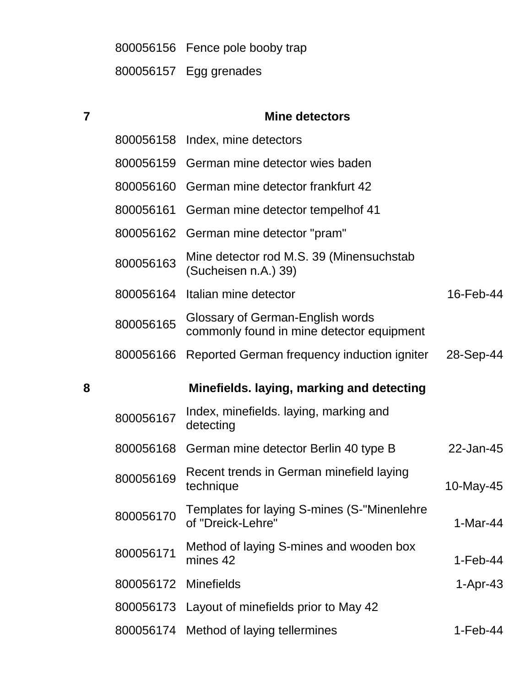800056156 Fence pole booby trap 800056157 Egg grenades

| $\overline{7}$ |           | <b>Mine detectors</b>                                                         |            |
|----------------|-----------|-------------------------------------------------------------------------------|------------|
|                |           | 800056158 Index, mine detectors                                               |            |
|                | 800056159 | German mine detector wies baden                                               |            |
|                | 800056160 | German mine detector frankfurt 42                                             |            |
|                | 800056161 | German mine detector tempelhof 41                                             |            |
|                |           | 800056162 German mine detector "pram"                                         |            |
|                | 800056163 | Mine detector rod M.S. 39 (Minensuchstab<br>(Sucheisen n.A.) 39)              |            |
|                |           | 800056164 Italian mine detector                                               | 16-Feb-44  |
|                | 800056165 | Glossary of German-English words<br>commonly found in mine detector equipment |            |
|                | 800056166 | Reported German frequency induction igniter                                   | 28-Sep-44  |
| 8              |           | Minefields. laying, marking and detecting                                     |            |
|                |           |                                                                               |            |
|                | 800056167 | Index, minefields. laying, marking and<br>detecting                           |            |
|                | 800056168 | German mine detector Berlin 40 type B                                         | 22-Jan-45  |
|                | 800056169 | Recent trends in German minefield laying<br>technique                         | 10-May-45  |
|                | 800056170 | Templates for laying S-mines (S-"Minenlehre<br>of "Dreick-Lehre"              | $1-Mar-44$ |
|                | 800056171 | Method of laying S-mines and wooden box<br>mines 42                           | $1-Feb-44$ |
|                | 800056172 | <b>Minefields</b>                                                             | $1-Apr-43$ |
|                | 800056173 | Layout of minefields prior to May 42                                          |            |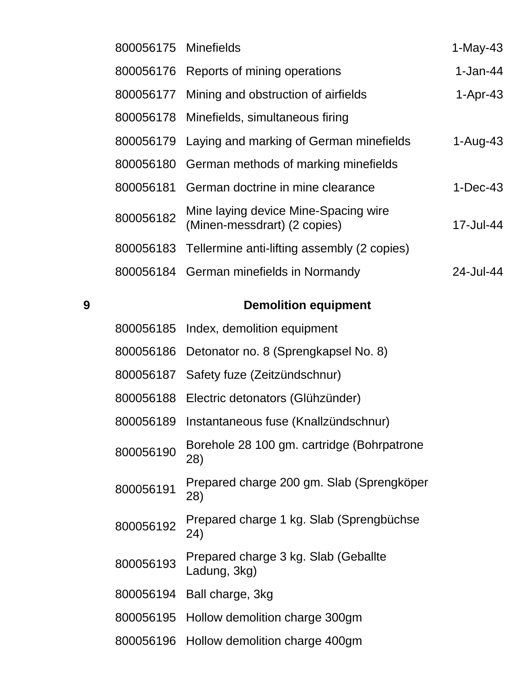| 800056175 Minefields |                                                                      | $1-May-43$ |
|----------------------|----------------------------------------------------------------------|------------|
|                      | 800056176 Reports of mining operations                               | $1-Jan-44$ |
|                      | 800056177 Mining and obstruction of airfields                        | $1-Apr-43$ |
|                      | 800056178 Minefields, simultaneous firing                            |            |
|                      | 800056179 Laying and marking of German minefields                    | $1-Auq-43$ |
|                      | 800056180 German methods of marking minefields                       |            |
|                      | 800056181 German doctrine in mine clearance                          | $1-Dec-43$ |
| 800056182            | Mine laying device Mine-Spacing wire<br>(Minen-messdrart) (2 copies) | 17-Jul-44  |
|                      | 800056183 Tellermine anti-lifting assembly (2 copies)                |            |
|                      | 800056184 German minefields in Normandy                              | 24-Jul-44  |
|                      |                                                                      |            |

#### **Demolition equipment**

| 800056185 Index, demolition equipment |
|---------------------------------------|
|                                       |

- Detonator no. 8 (Sprengkapsel No. 8)
- Safety fuze (Zeitzündschnur)
- Electric detonators (Glühzünder)
- Instantaneous fuse (Knallzündschnur)
- Borehole 28 100 gm. cartridge (Bohrpatrone 28)
- Prepared charge 200 gm. Slab (Sprengköper 28)
- 800056192 Prepared charge 1 kg. Slab (Sprengbüchse 24)
- Prepared charge 3 kg. Slab (Geballte Ladung, 3kg)
- Ball charge, 3kg
- Hollow demolition charge 300gm
- Hollow demolition charge 400gm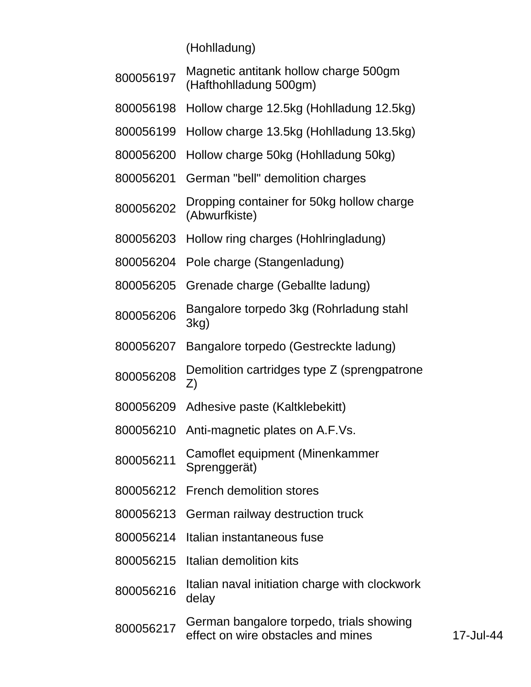(Hohlladung)

| 800056197 | Magnetic antitank hollow charge 500gm<br>(Hafthohlladung 500gm)                |
|-----------|--------------------------------------------------------------------------------|
| 800056198 | Hollow charge 12.5kg (Hohlladung 12.5kg)                                       |
| 800056199 | Hollow charge 13.5kg (Hohlladung 13.5kg)                                       |
| 800056200 | Hollow charge 50kg (Hohlladung 50kg)                                           |
| 800056201 | German "bell" demolition charges                                               |
| 800056202 | Dropping container for 50kg hollow charge<br>(Abwurfkiste)                     |
| 800056203 | Hollow ring charges (Hohlringladung)                                           |
| 800056204 | Pole charge (Stangenladung)                                                    |
| 800056205 | Grenade charge (Geballte ladung)                                               |
| 800056206 | Bangalore torpedo 3kg (Rohrladung stahl<br>3kg)                                |
| 800056207 | Bangalore torpedo (Gestreckte ladung)                                          |
| 800056208 | Demolition cartridges type Z (sprengpatrone<br>Z)                              |
| 800056209 | Adhesive paste (Kaltklebekitt)                                                 |
| 800056210 | Anti-magnetic plates on A.F.Vs.                                                |
| 800056211 | Camoflet equipment (Minenkammer<br>Sprenggerät)                                |
| 800056212 | <b>French demolition stores</b>                                                |
| 800056213 | German railway destruction truck                                               |
| 800056214 | Italian instantaneous fuse                                                     |
| 800056215 | Italian demolition kits                                                        |
| 800056216 | Italian naval initiation charge with clockwork<br>delay                        |
| 800056217 | German bangalore torpedo, trials showing<br>effect on wire obstacles and mines |

-Jul-44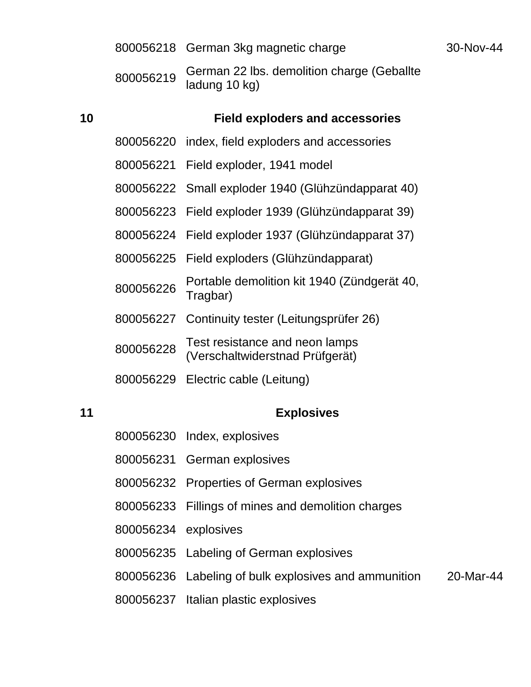|    |           | 800056218 German 3kg magnetic charge                        | 30-Nov-44 |
|----|-----------|-------------------------------------------------------------|-----------|
|    | 800056219 | German 22 lbs. demolition charge (Geballte<br>ladung 10 kg) |           |
| 10 |           | <b>Field exploders and accessories</b>                      |           |
|    |           | 800056220 index, field exploders and accessories            |           |
|    |           | 800056221 Field exploder, 1941 model                        |           |
|    |           | 800056222 Small exploder 1940 (Glühzündapparat 40)          |           |
|    |           | 800056223 Field exploder 1939 (Glühzündapparat 39)          |           |
|    |           | 800056224 Field exploder 1937 (Glühzündapparat 37)          |           |
|    |           | 800056225 Field exploders (Glühzündapparat)                 |           |
|    | 800056226 | Portable demolition kit 1940 (Zündgerät 40,<br>Tragbar)     |           |
|    |           | 800056227 Continuity tester (Leitungsprüfer 26)             |           |

 Test resistance and neon lamps (Verschaltwiderstnad Prüfgerät)

Electric cable (Leitung)

# **Explosives**

|                      | 800056230 Index, explosives                                    |  |
|----------------------|----------------------------------------------------------------|--|
|                      | 800056231 German explosives                                    |  |
|                      | 800056232 Properties of German explosives                      |  |
|                      | 800056233 Fillings of mines and demolition charges             |  |
| 800056234 explosives |                                                                |  |
|                      | 800056235 Labeling of German explosives                        |  |
|                      | 800056236 Labeling of bulk explosives and ammunition 20-Mar-44 |  |
|                      | 800056237 Italian plastic explosives                           |  |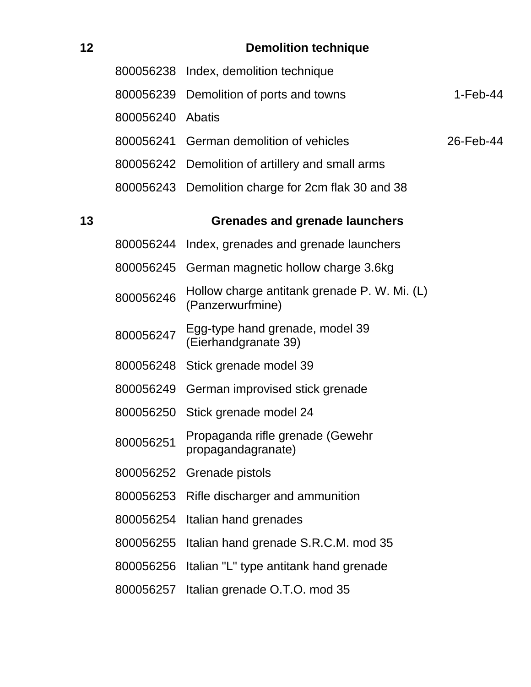| 12 |                  | <b>Demolition technique</b>                                      |            |
|----|------------------|------------------------------------------------------------------|------------|
|    |                  | 800056238 Index, demolition technique                            |            |
|    | 800056239        | Demolition of ports and towns                                    | $1-Feb-44$ |
|    | 800056240 Abatis |                                                                  |            |
|    |                  | 800056241 German demolition of vehicles                          | 26-Feb-44  |
|    |                  | 800056242 Demolition of artillery and small arms                 |            |
|    |                  | 800056243 Demolition charge for 2cm flak 30 and 38               |            |
| 13 |                  | <b>Grenades and grenade launchers</b>                            |            |
|    | 800056244        | Index, grenades and grenade launchers                            |            |
|    |                  | 800056245 German magnetic hollow charge 3.6kg                    |            |
|    | 800056246        | Hollow charge antitank grenade P. W. Mi. (L)<br>(Panzerwurfmine) |            |
|    | 800056247        | Egg-type hand grenade, model 39<br>(Eierhandgranate 39)          |            |
|    |                  | 800056248 Stick grenade model 39                                 |            |
|    |                  | 800056249 German improvised stick grenade                        |            |
|    | 800056250        | Stick grenade model 24                                           |            |
|    | 800056251        | Propaganda rifle grenade (Gewehr<br>propagandagranate)           |            |
|    | 800056252        | Grenade pistols                                                  |            |
|    | 800056253        | Rifle discharger and ammunition                                  |            |
|    | 800056254        | Italian hand grenades                                            |            |
|    | 800056255        | Italian hand grenade S.R.C.M. mod 35                             |            |
|    | 800056256        | Italian "L" type antitank hand grenade                           |            |
|    | 800056257        | Italian grenade O.T.O. mod 35                                    |            |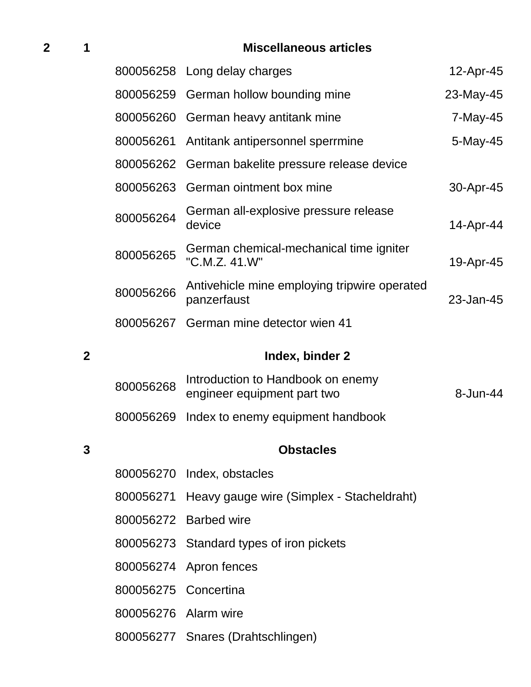# **1 Miscellaneous articles**

|                         |                      | 800056258 Long delay charges                                     | 12-Apr-45 |
|-------------------------|----------------------|------------------------------------------------------------------|-----------|
|                         |                      | 800056259 German hollow bounding mine                            | 23-May-45 |
|                         |                      | 800056260 German heavy antitank mine                             | 7-May-45  |
|                         | 800056261            | Antitank antipersonnel sperrmine                                 | 5-May-45  |
|                         | 800056262            | German bakelite pressure release device                          |           |
|                         |                      | 800056263 German ointment box mine                               | 30-Apr-45 |
|                         | 800056264            | German all-explosive pressure release<br>device                  | 14-Apr-44 |
|                         | 800056265            | German chemical-mechanical time igniter<br>"C.M.Z. 41.W"         | 19-Apr-45 |
|                         | 800056266            | Antivehicle mine employing tripwire operated<br>panzerfaust      | 23-Jan-45 |
|                         | 800056267            | German mine detector wien 41                                     |           |
| $\overline{\mathbf{2}}$ |                      | Index, binder 2                                                  |           |
|                         | 800056268            | Introduction to Handbook on enemy<br>engineer equipment part two | 8-Jun-44  |
|                         | 800056269            | Index to enemy equipment handbook                                |           |
|                         |                      | <b>Obstacles</b>                                                 |           |
|                         |                      | 800056270 Index, obstacles                                       |           |
|                         |                      | 800056271 Heavy gauge wire (Simplex - Stacheldraht)              |           |
|                         |                      | 800056272 Barbed wire                                            |           |
|                         |                      | 800056273 Standard types of iron pickets                         |           |
|                         |                      |                                                                  |           |
|                         |                      | 800056274 Apron fences                                           |           |
|                         | 800056275 Concertina |                                                                  |           |

Snares (Drahtschlingen)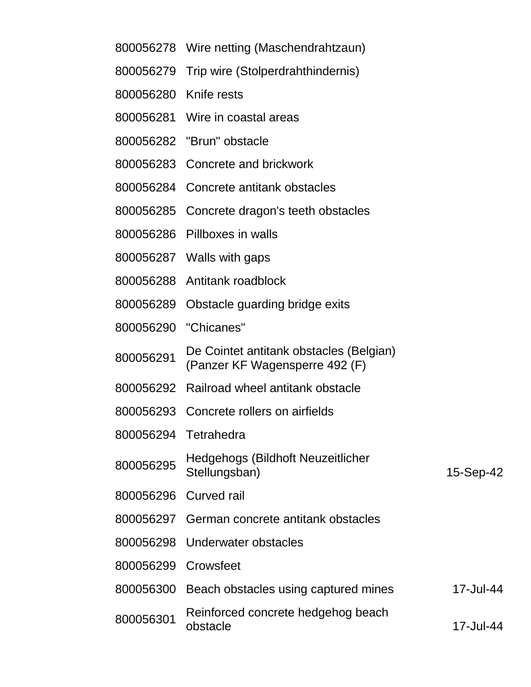| 800056278             | Wire netting (Maschendrahtzaun)                                           |           |  |
|-----------------------|---------------------------------------------------------------------------|-----------|--|
|                       | 800056279 Trip wire (Stolperdrahthindernis)                               |           |  |
| 800056280 Knife rests |                                                                           |           |  |
|                       | 800056281 Wire in coastal areas                                           |           |  |
|                       | 800056282 "Brun" obstacle                                                 |           |  |
|                       | 800056283 Concrete and brickwork                                          |           |  |
|                       | 800056284 Concrete antitank obstacles                                     |           |  |
| 800056285             | Concrete dragon's teeth obstacles                                         |           |  |
|                       | 800056286 Pillboxes in walls                                              |           |  |
|                       | 800056287 Walls with gaps                                                 |           |  |
|                       | 800056288 Antitank roadblock                                              |           |  |
| 800056289             | Obstacle guarding bridge exits                                            |           |  |
| 800056290             | "Chicanes"                                                                |           |  |
| 800056291             | De Cointet antitank obstacles (Belgian)<br>(Panzer KF Wagensperre 492 (F) |           |  |
|                       | 800056292 Railroad wheel antitank obstacle                                |           |  |
|                       | 800056293 Concrete rollers on airfields                                   |           |  |
| 800056294 Tetrahedra  |                                                                           |           |  |
| 800056295             | Hedgehogs (Bildhoft Neuzeitlicher<br>Stellungsban)                        | 15-Sep-42 |  |
| 800056296             | Curved rail                                                               |           |  |
| 800056297             | German concrete antitank obstacles                                        |           |  |
| 800056298             | Underwater obstacles                                                      |           |  |
| 800056299             | Crowsfeet                                                                 |           |  |
|                       | 800056300 Beach obstacles using captured mines                            | 17-Jul-44 |  |
|                       | Dejsfereed concrete hedseleer heech                                       |           |  |

 Reinforced concrete hedgehog beach obstacle 17-Jul-44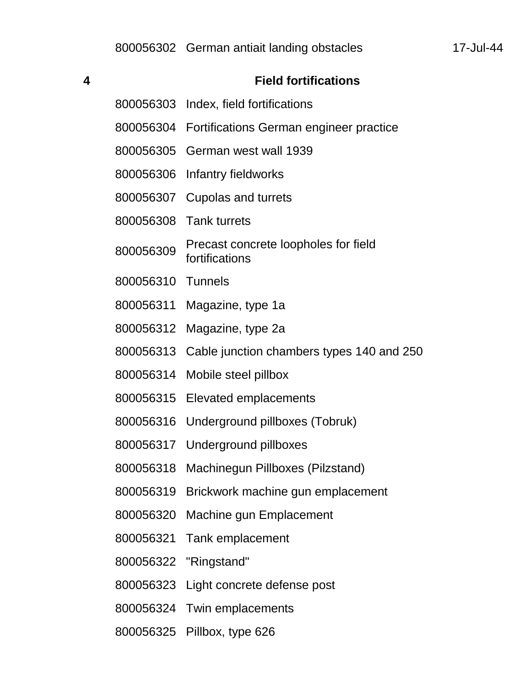| 4 |                   | <b>Field fortifications</b>                            |
|---|-------------------|--------------------------------------------------------|
|   |                   | 800056303 Index, field fortifications                  |
|   |                   | 800056304 Fortifications German engineer practice      |
|   |                   | 800056305 German west wall 1939                        |
|   |                   | 800056306 Infantry fieldworks                          |
|   |                   | 800056307 Cupolas and turrets                          |
|   |                   | 800056308 Tank turrets                                 |
|   | 800056309         | Precast concrete loopholes for field<br>fortifications |
|   | 800056310 Tunnels |                                                        |
|   |                   | 800056311 Magazine, type 1a                            |
|   |                   | 800056312 Magazine, type 2a                            |
|   | 800056313         | Cable junction chambers types 140 and 250              |
|   | 800056314         | Mobile steel pillbox                                   |
|   |                   | 800056315 Elevated emplacements                        |
|   |                   | 800056316 Underground pillboxes (Tobruk)               |
|   |                   | 800056317 Underground pillboxes                        |
|   | 800056318         | Machinegun Pillboxes (Pilzstand)                       |
|   | 800056319         | Brickwork machine gun emplacement                      |
|   |                   | 800056320 Machine gun Emplacement                      |
|   |                   | 800056321 Tank emplacement                             |
|   |                   | 800056322 "Ringstand"                                  |
|   |                   | 800056323 Light concrete defense post                  |
|   |                   | 800056324 Twin emplacements                            |
|   |                   |                                                        |

Pillbox, type 626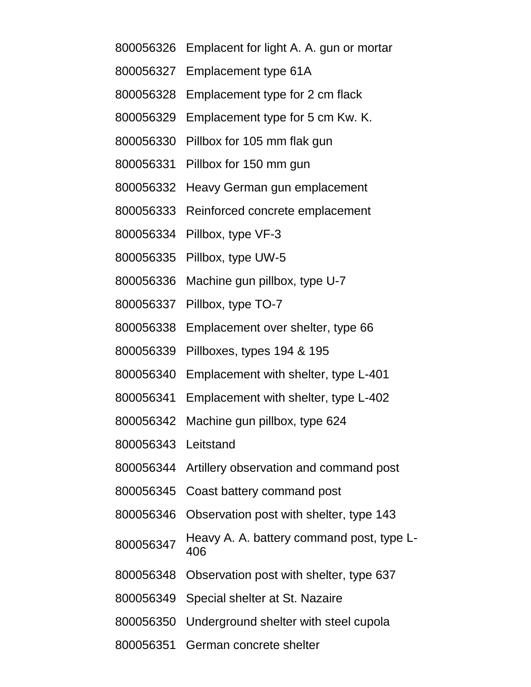- Emplacent for light A. A. gun or mortar
- Emplacement type 61A
- Emplacement type for 2 cm flack
- Emplacement type for 5 cm Kw. K.
- Pillbox for 105 mm flak gun
- Pillbox for 150 mm gun
- Heavy German gun emplacement
- Reinforced concrete emplacement
- Pillbox, type VF-3
- Pillbox, type UW-5
- Machine gun pillbox, type U-7
- Pillbox, type TO-7
- Emplacement over shelter, type 66
- Pillboxes, types 194 & 195
- Emplacement with shelter, type L-401
- Emplacement with shelter, type L-402
- Machine gun pillbox, type 624
- Leitstand
- Artillery observation and command post
- Coast battery command post
- Observation post with shelter, type 143
- Heavy A. A. battery command post, type L-
- Observation post with shelter, type 637
- Special shelter at St. Nazaire
- Underground shelter with steel cupola
- German concrete shelter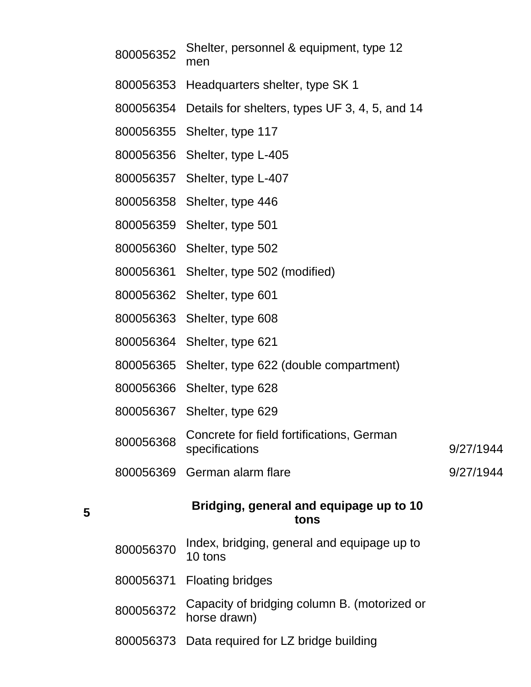| 800056352 | Shelter, personnel & equipment, type 12<br>men               |           |
|-----------|--------------------------------------------------------------|-----------|
|           | 800056353 Headquarters shelter, type SK 1                    |           |
|           | 800056354 Details for shelters, types UF 3, 4, 5, and 14     |           |
|           | 800056355 Shelter, type 117                                  |           |
|           | 800056356 Shelter, type L-405                                |           |
|           | 800056357 Shelter, type L-407                                |           |
|           | 800056358 Shelter, type 446                                  |           |
|           | 800056359 Shelter, type 501                                  |           |
|           | 800056360 Shelter, type 502                                  |           |
|           | 800056361 Shelter, type 502 (modified)                       |           |
|           | 800056362 Shelter, type 601                                  |           |
|           | 800056363 Shelter, type 608                                  |           |
|           | 800056364 Shelter, type 621                                  |           |
|           | 800056365 Shelter, type 622 (double compartment)             |           |
|           | 800056366 Shelter, type 628                                  |           |
|           | 800056367 Shelter, type 629                                  |           |
| 800056368 | Concrete for field fortifications, German<br>specifications  | 9/27/1944 |
| 800056369 | German alarm flare                                           | 9/27/1944 |
|           | Bridging, general and equipage up to 10<br>tons              |           |
| 800056370 | Index, bridging, general and equipage up to<br>10 tons       |           |
| 800056371 | <b>Floating bridges</b>                                      |           |
| 800056372 | Capacity of bridging column B. (motorized or<br>horse drawn) |           |

Data required for LZ bridge building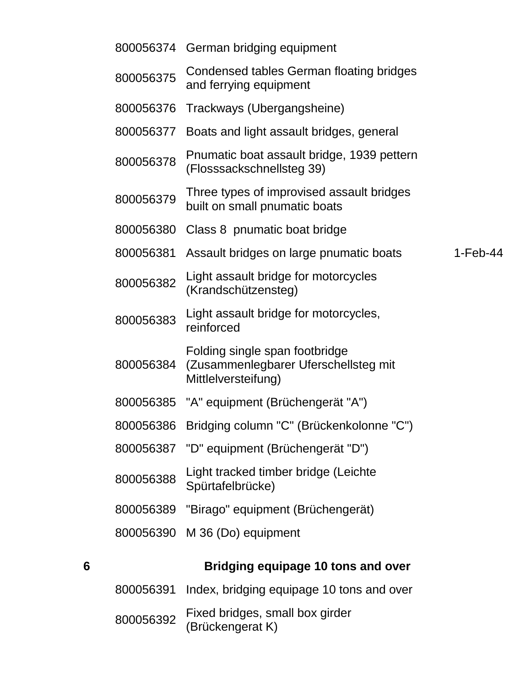|   |           | 800056374 German bridging equipment                                                           |            |
|---|-----------|-----------------------------------------------------------------------------------------------|------------|
|   | 800056375 | Condensed tables German floating bridges<br>and ferrying equipment                            |            |
|   | 800056376 | Trackways (Ubergangsheine)                                                                    |            |
|   | 800056377 | Boats and light assault bridges, general                                                      |            |
|   | 800056378 | Pnumatic boat assault bridge, 1939 pettern<br>(Flosssackschnellsteg 39)                       |            |
|   | 800056379 | Three types of improvised assault bridges<br>built on small pnumatic boats                    |            |
|   | 800056380 | Class 8 pnumatic boat bridge                                                                  |            |
|   | 800056381 | Assault bridges on large pnumatic boats                                                       | $1-Feb-44$ |
|   | 800056382 | Light assault bridge for motorcycles<br>(Krandschützensteg)                                   |            |
|   | 800056383 | Light assault bridge for motorcycles,<br>reinforced                                           |            |
|   | 800056384 | Folding single span footbridge<br>(Zusammenlegbarer Uferschellsteg mit<br>Mittlelversteifung) |            |
|   |           | 800056385 "A" equipment (Brüchengerät "A")                                                    |            |
|   | 800056386 | Bridging column "C" (Brückenkolonne "C")                                                      |            |
|   |           | 800056387 "D" equipment (Brüchengerät "D")                                                    |            |
|   | 800056388 | Light tracked timber bridge (Leichte<br>Spürtafelbrücke)                                      |            |
|   |           | 800056389 "Birago" equipment (Brüchengerät)                                                   |            |
|   |           | 800056390 M 36 (Do) equipment                                                                 |            |
| 6 |           | Bridging equipage 10 tons and over                                                            |            |
|   | 800056391 | Index, bridging equipage 10 tons and over                                                     |            |
|   |           | Fived bridges small hav girder                                                                |            |

 $800056392$  Fixed bridges, small box girder (Brückengerat K)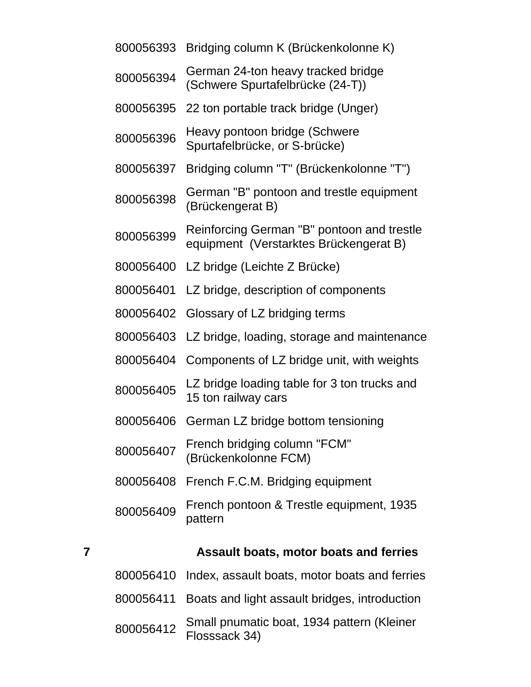| 7 |           | Assault boats, motor boats and ferries                                               |
|---|-----------|--------------------------------------------------------------------------------------|
|   | 800056409 | French pontoon & Trestle equipment, 1935<br>pattern                                  |
|   | 800056408 | French F.C.M. Bridging equipment                                                     |
|   | 800056407 | French bridging column "FCM"<br>(Brückenkolonne FCM)                                 |
|   | 800056406 | German LZ bridge bottom tensioning                                                   |
|   | 800056405 | LZ bridge loading table for 3 ton trucks and<br>15 ton railway cars                  |
|   | 800056404 | Components of LZ bridge unit, with weights                                           |
|   | 800056403 | LZ bridge, loading, storage and maintenance                                          |
|   | 800056402 | Glossary of LZ bridging terms                                                        |
|   | 800056401 | LZ bridge, description of components                                                 |
|   | 800056400 | LZ bridge (Leichte Z Brücke)                                                         |
|   | 800056399 | Reinforcing German "B" pontoon and trestle<br>equipment (Verstarktes Brückengerat B) |
|   | 800056398 | German "B" pontoon and trestle equipment<br>(Brückengerat B)                         |
|   | 800056397 | Bridging column "T" (Brückenkolonne "T")                                             |
|   | 800056396 | Heavy pontoon bridge (Schwere<br>Spurtafelbrücke, or S-brücke)                       |
|   | 800056395 | 22 ton portable track bridge (Unger)                                                 |
|   | 800056394 | German 24-ton heavy tracked bridge<br>(Schwere Spurtafelbrücke (24-T))               |
|   |           | 800056393 Bridging column K (Brückenkolonne K)                                       |

|           | 800056410 Index, assault boats, motor boats and ferries     |
|-----------|-------------------------------------------------------------|
|           | 800056411 Boats and light assault bridges, introduction     |
| 800056412 | Small pnumatic boat, 1934 pattern (Kleiner<br>Flosssack 34) |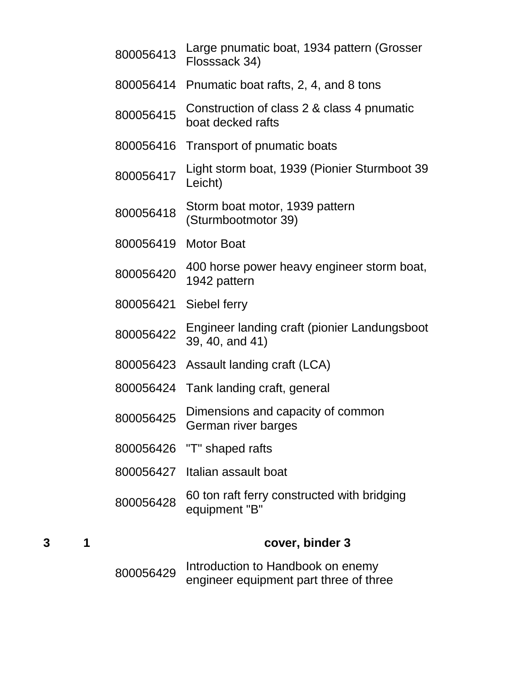|           | Introduction to Handbook on enemy                               |
|-----------|-----------------------------------------------------------------|
|           | cover, binder 3                                                 |
| 800056428 | 60 ton raft ferry constructed with bridging<br>equipment "B"    |
| 800056427 | Italian assault boat                                            |
|           | 800056426 "T" shaped rafts                                      |
| 800056425 | Dimensions and capacity of common<br>German river barges        |
| 800056424 | Tank landing craft, general                                     |
| 800056423 | Assault landing craft (LCA)                                     |
| 800056422 | Engineer landing craft (pionier Landungsboot<br>39, 40, and 41) |
| 800056421 | Siebel ferry                                                    |
| 800056420 | 400 horse power heavy engineer storm boat,<br>1942 pattern      |
| 800056419 | <b>Motor Boat</b>                                               |
| 800056418 | Storm boat motor, 1939 pattern<br>(Sturmbootmotor 39)           |
| 800056417 | Light storm boat, 1939 (Pionier Sturmboot 39<br>Leicht)         |
| 800056416 | Transport of pnumatic boats                                     |
| 800056415 | Construction of class 2 & class 4 pnumatic<br>boat decked rafts |
| 800056414 | Pnumatic boat rafts, 2, 4, and 8 tons                           |
| 800056413 | Large pnumatic boat, 1934 pattern (Grosser<br>Flosssack 34)     |

<sup>800056429</sup> Introduction to Handbook on enemy engineer equipment part three of three

**3 1 cover, binder 3**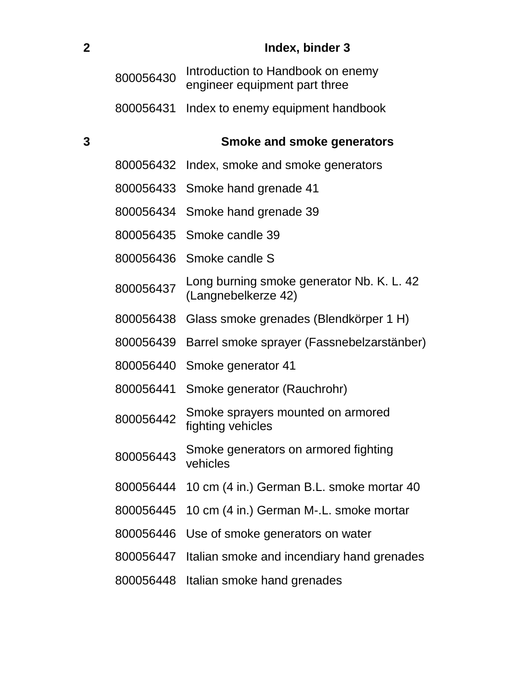| $\overline{\mathbf{2}}$ |           | Index, binder 3                                                    |
|-------------------------|-----------|--------------------------------------------------------------------|
|                         | 800056430 | Introduction to Handbook on enemy<br>engineer equipment part three |
|                         | 800056431 | Index to enemy equipment handbook                                  |
| 3                       |           | <b>Smoke and smoke generators</b>                                  |
|                         |           | 800056432 Index, smoke and smoke generators                        |
|                         |           | 800056433 Smoke hand grenade 41                                    |
|                         |           | 800056434 Smoke hand grenade 39                                    |
|                         |           | 800056435 Smoke candle 39                                          |
|                         |           | 800056436 Smoke candle S                                           |
|                         | 800056437 | Long burning smoke generator Nb. K. L. 42<br>(Langnebelkerze 42)   |
|                         | 800056438 | Glass smoke grenades (Blendkörper 1 H)                             |
|                         |           | 800056439 Barrel smoke sprayer (Fassnebelzarstänber)               |
|                         | 800056440 | Smoke generator 41                                                 |
|                         | 800056441 | Smoke generator (Rauchrohr)                                        |
|                         | 800056442 | Smoke sprayers mounted on armored<br>fighting vehicles             |
|                         | 800056443 | Smoke generators on armored fighting<br>vehicles                   |
|                         | 800056444 | 10 cm (4 in.) German B.L. smoke mortar 40                          |
|                         | 800056445 | 10 cm (4 in.) German M-.L. smoke mortar                            |
|                         | 800056446 | Use of smoke generators on water                                   |
|                         | 800056447 | Italian smoke and incendiary hand grenades                         |
|                         | 800056448 | Italian smoke hand grenades                                        |
|                         |           |                                                                    |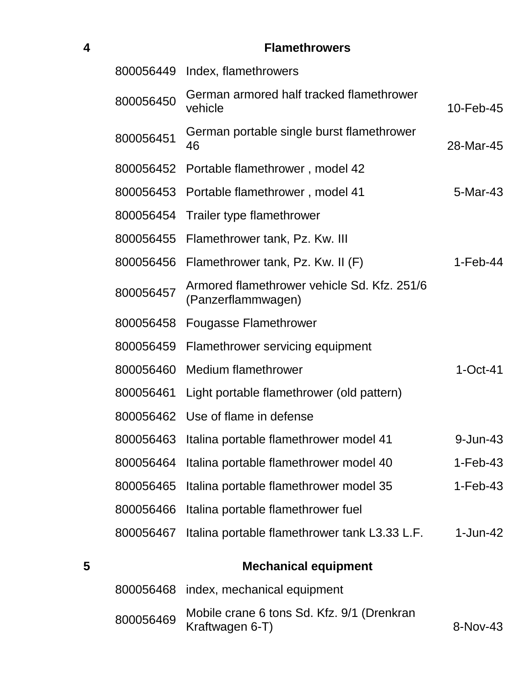| <b>Flamethrowers</b> |
|----------------------|
|                      |

|   | 800056449 | Index, flamethrowers                                              |              |
|---|-----------|-------------------------------------------------------------------|--------------|
|   | 800056450 | German armored half tracked flamethrower<br>vehicle               | 10-Feb-45    |
|   | 800056451 | German portable single burst flamethrower<br>46                   | 28-Mar-45    |
|   |           | 800056452 Portable flamethrower, model 42                         |              |
|   | 800056453 | Portable flamethrower, model 41                                   | 5-Mar-43     |
|   | 800056454 | Trailer type flamethrower                                         |              |
|   |           | 800056455 Flamethrower tank, Pz. Kw. III                          |              |
|   |           | 800056456 Flamethrower tank, Pz. Kw. II (F)                       | $1-Feb-44$   |
|   | 800056457 | Armored flamethrower vehicle Sd. Kfz. 251/6<br>(Panzerflammwagen) |              |
|   | 800056458 | <b>Fougasse Flamethrower</b>                                      |              |
|   | 800056459 | Flamethrower servicing equipment                                  |              |
|   | 800056460 | Medium flamethrower                                               | $1-Oct-41$   |
|   | 800056461 | Light portable flamethrower (old pattern)                         |              |
|   |           | 800056462 Use of flame in defense                                 |              |
|   | 800056463 | Italina portable flamethrower model 41                            | $9 - Jun-43$ |
|   |           | 800056464 Italina portable flamethrower model 40                  | $1-Feb-43$   |
|   | 800056465 | Italina portable flamethrower model 35                            | $1-Feb-43$   |
|   | 800056466 | Italina portable flamethrower fuel                                |              |
|   | 800056467 | Italina portable flamethrower tank L3.33 L.F.                     | $1 - Jun-42$ |
| 5 |           | <b>Mechanical equipment</b>                                       |              |
|   |           | 800056468 index, mechanical equipment                             |              |
|   | 800056469 | Mobile crane 6 tons Sd. Kfz. 9/1 (Drenkran<br>Kraftwagen 6-T)     | 8-Nov-43     |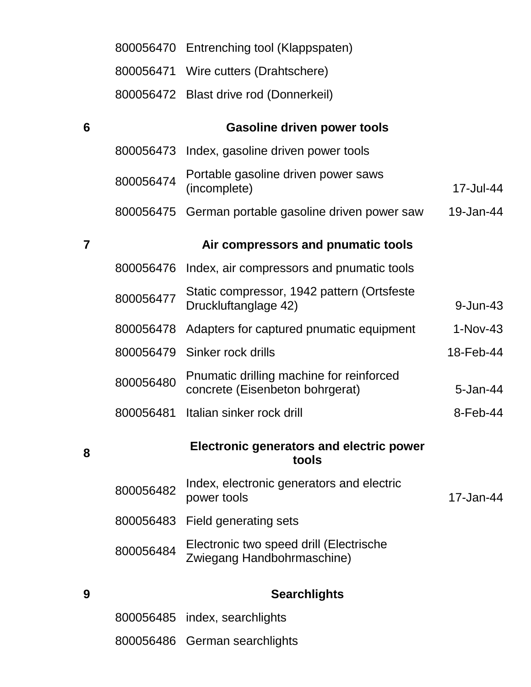|                 |           | 800056470 Entrenching tool (Klappspaten)                                    |            |
|-----------------|-----------|-----------------------------------------------------------------------------|------------|
|                 |           | 800056471 Wire cutters (Drahtschere)                                        |            |
|                 |           | 800056472 Blast drive rod (Donnerkeil)                                      |            |
| $6\phantom{1}6$ |           | <b>Gasoline driven power tools</b>                                          |            |
|                 | 800056473 | Index, gasoline driven power tools                                          |            |
|                 | 800056474 | Portable gasoline driven power saws<br>(incomplete)                         | 17-Jul-44  |
|                 | 800056475 | German portable gasoline driven power saw                                   | 19-Jan-44  |
| $\overline{7}$  |           | Air compressors and pnumatic tools                                          |            |
|                 | 800056476 | Index, air compressors and pnumatic tools                                   |            |
|                 | 800056477 | Static compressor, 1942 pattern (Ortsfeste<br>Druckluftanglage 42)          | 9-Jun-43   |
|                 | 800056478 | Adapters for captured pnumatic equipment                                    | $1-Nov-43$ |
|                 | 800056479 | Sinker rock drills                                                          | 18-Feb-44  |
|                 | 800056480 | Pnumatic drilling machine for reinforced<br>concrete (Eisenbeton bohrgerat) | 5-Jan-44   |
|                 | 800056481 | Italian sinker rock drill                                                   | 8-Feb-44   |
| 8               |           | <b>Electronic generators and electric power</b><br>tools                    |            |
|                 | 800056482 | Index, electronic generators and electric<br>power tools                    | 17-Jan-44  |
|                 |           | 800056483 Field generating sets                                             |            |
|                 | 800056484 | Electronic two speed drill (Electrische<br>Zwiegang Handbohrmaschine)       |            |
| 9               |           | <b>Searchlights</b>                                                         |            |
|                 | 800056485 | index, searchlights                                                         |            |
|                 |           | 800056486 German searchlights                                               |            |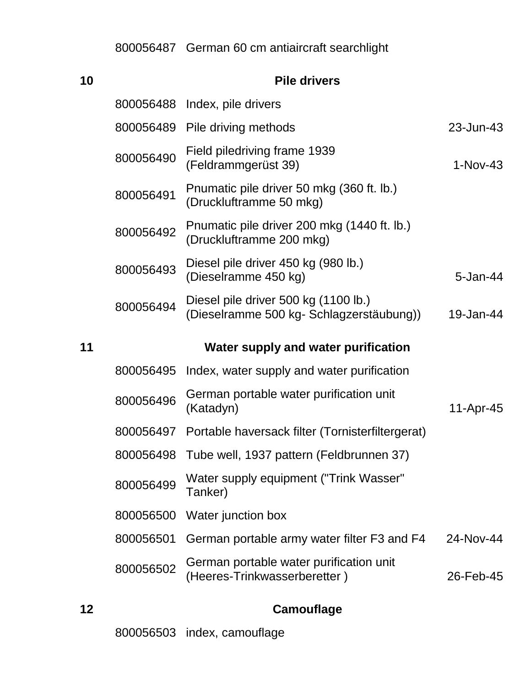German 60 cm antiaircraft searchlight

| 10 |           | <b>Pile drivers</b>                                                              |              |
|----|-----------|----------------------------------------------------------------------------------|--------------|
|    |           | 800056488 Index, pile drivers                                                    |              |
|    |           | 800056489 Pile driving methods                                                   | 23-Jun-43    |
|    | 800056490 | Field piledriving frame 1939<br>(Feldrammgerüst 39)                              | $1-Nov-43$   |
|    | 800056491 | Pnumatic pile driver 50 mkg (360 ft. lb.)<br>(Druckluftramme 50 mkg)             |              |
|    | 800056492 | Pnumatic pile driver 200 mkg (1440 ft. lb.)<br>(Druckluftramme 200 mkg)          |              |
|    | 800056493 | Diesel pile driver 450 kg (980 lb.)<br>(Dieselramme 450 kg)                      | $5 - Jan-44$ |
|    | 800056494 | Diesel pile driver 500 kg (1100 lb.)<br>(Dieselramme 500 kg- Schlagzerstäubung)) | 19-Jan-44    |
|    |           |                                                                                  |              |
| 11 |           | Water supply and water purification                                              |              |
|    | 800056495 | Index, water supply and water purification                                       |              |
|    | 800056496 | German portable water purification unit<br>(Katadyn)                             | 11-Apr-45    |
|    | 800056497 | Portable haversack filter (Tornisterfiltergerat)                                 |              |
|    | 800056498 | Tube well, 1937 pattern (Feldbrunnen 37)                                         |              |
|    | 800056499 | Water supply equipment ("Trink Wasser"<br>Tanker)                                |              |
|    | 800056500 | Water junction box                                                               |              |
|    | 800056501 | German portable army water filter F3 and F4                                      | 24-Nov-44    |

| 12 | Camouflage |
|----|------------|
|    |            |

index, camouflage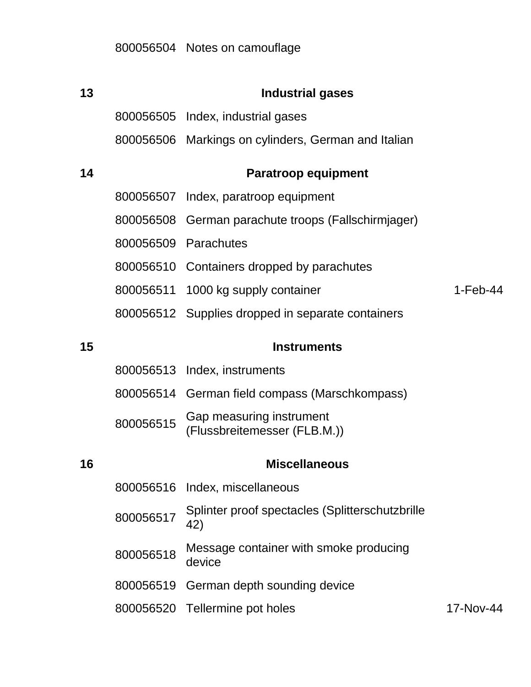| 13 |           | <b>Industrial gases</b>                                  |            |
|----|-----------|----------------------------------------------------------|------------|
|    |           | 800056505 Index, industrial gases                        |            |
|    |           | 800056506 Markings on cylinders, German and Italian      |            |
| 14 |           | <b>Paratroop equipment</b>                               |            |
|    |           | 800056507 Index, paratroop equipment                     |            |
|    | 800056508 | German parachute troops (Fallschirmjager)                |            |
|    |           | 800056509 Parachutes                                     |            |
|    |           | 800056510 Containers dropped by parachutes               |            |
|    |           | 800056511 1000 kg supply container                       | $1-Feb-44$ |
|    |           | 800056512 Supplies dropped in separate containers        |            |
| 15 |           | <b>Instruments</b>                                       |            |
|    |           | 800056513 Index, instruments                             |            |
|    |           | 800056514 German field compass (Marschkompass)           |            |
|    | 800056515 | Gap measuring instrument<br>(Flussbreitemesser (FLB.M.)) |            |
| 16 |           | <b>Miscellaneous</b>                                     |            |
|    |           | 800056516 Index, miscellaneous                           |            |
|    | 800056517 | Splinter proof spectacles (Splitterschutzbrille<br>42)   |            |
|    | 800056518 | Message container with smoke producing<br>device         |            |
|    | 800056519 | German depth sounding device                             |            |
|    |           | 800056520 Tellermine pot holes                           | 17-Nov-44  |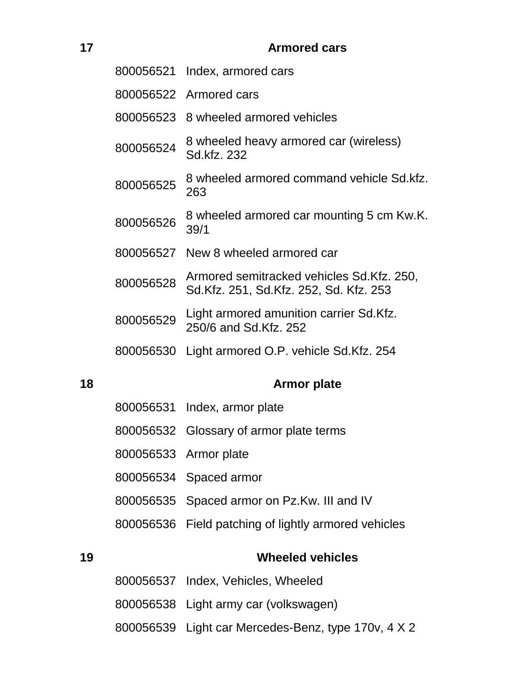# **Armored cars**

|    |           | 800056521 Index, armored cars                                                       |
|----|-----------|-------------------------------------------------------------------------------------|
|    |           | 800056522 Armored cars                                                              |
|    |           | 800056523 8 wheeled armored vehicles                                                |
|    | 800056524 | 8 wheeled heavy armored car (wireless)<br>Sd.kfz. 232                               |
|    | 800056525 | 8 wheeled armored command vehicle Sd.kfz.<br>263                                    |
|    | 800056526 | 8 wheeled armored car mounting 5 cm Kw.K.<br>39/1                                   |
|    |           | 800056527 New 8 wheeled armored car                                                 |
|    | 800056528 | Armored semitracked vehicles Sd.Kfz. 250,<br>Sd.Kfz. 251, Sd.Kfz. 252, Sd. Kfz. 253 |
|    | 800056529 | Light armored amunition carrier Sd.Kfz.<br>250/6 and Sd.Kfz, 252                    |
|    |           | 800056530 Light armored O.P. vehicle Sd.Kfz. 254                                    |
| 18 |           | <b>Armor plate</b>                                                                  |
|    |           | $000000001$ $ln dav$ $sumor plot$                                                   |

|    | 800056537 Index, Vehicles, Wheeled                   |
|----|------------------------------------------------------|
| 19 | <b>Wheeled vehicles</b>                              |
|    | 800056536 Field patching of lightly armored vehicles |
|    | 800056535 Spaced armor on Pz.Kw. III and IV          |
|    | 800056534 Spaced armor                               |
|    | 800056533 Armor plate                                |
|    | 800056532 Glossary of armor plate terms              |
|    | <u>80005831 Index, armor plate</u>                   |

Light army car (volkswagen)

Light car Mercedes-Benz, type 170v, 4 X 2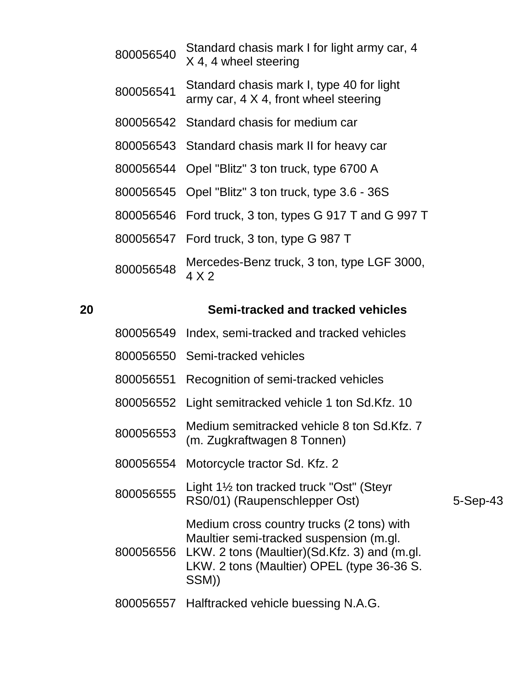Standard chasis mark I for light army car, 4 X 4, 4 wheel steering Standard chasis mark I, type 40 for light army car, 4 X 4, front wheel steering Standard chasis for medium car Standard chasis mark II for heavy car Opel "Blitz" 3 ton truck, type 6700 A Opel "Blitz" 3 ton truck, type 3.6 - 36S Ford truck, 3 ton, types G 917 T and G 997 T Ford truck, 3 ton, type G 987 T Mercedes-Benz truck, 3 ton, type LGF 3000, 4 X 2

#### **Semi-tracked and tracked vehicles**

- Index, semi-tracked and tracked vehicles
- Semi-tracked vehicles
- Recognition of semi-tracked vehicles
- Light semitracked vehicle 1 ton Sd.Kfz. 10
- 800056553 Medium semitracked vehicle 8 ton Sd.Kfz. 7 (m. Zugkraftwagen 8 Tonnen)
- Motorcycle tractor Sd. Kfz. 2
- Light 1½ ton tracked truck "Ost" (Steyr RS0/01) (Raupenschlepper Ost) 5-Sep-43

- Medium cross country trucks (2 tons) with Maultier semi-tracked suspension (m.gl.
- LKW. 2 tons (Maultier)(Sd.Kfz. 3) and (m.gl. LKW. 2 tons (Maultier) OPEL (type 36-36 S. SSM))
- Halftracked vehicle buessing N.A.G.